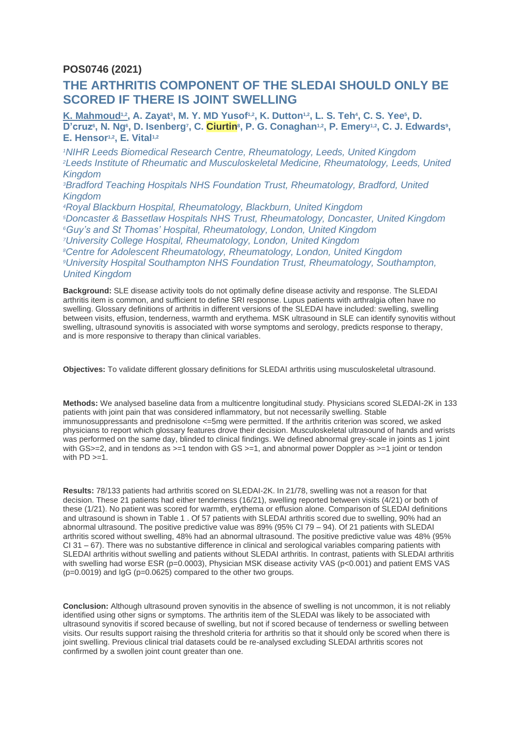## **POS0746 (2021)**

## **THE ARTHRITIS COMPONENT OF THE SLEDAI SHOULD ONLY BE SCORED IF THERE IS JOINT SWELLING**

**K. Mahmoud<sup>1,2</sup>, A. Zayat<sup>3</sup>, M. Y. MD Yusof<sup>1,2</sup>, K. Dutton<sup>1,2</sup>, L. S. Teh<sup>4</sup>, C. S. Yee<sup>5</sup>, D.** D'cruz<sup>6</sup>, N. Ng<sup>6</sup>, D. Isenberg<sup>7</sup>, C. Ciurtin<sup>8</sup>, P. G. Conaghan<sup>1,2</sup>, P. Emery<sup>1,2</sup>, C. J. Edwards<sup>9</sup>, **E. Hensor1,2, E. Vital1,2**

*NIHR Leeds Biomedical Research Centre, Rheumatology, Leeds, United Kingdom Leeds Institute of Rheumatic and Musculoskeletal Medicine, Rheumatology, Leeds, United Kingdom Bradford Teaching Hospitals NHS Foundation Trust, Rheumatology, Bradford, United* 

*Kingdom*

*Royal Blackburn Hospital, Rheumatology, Blackburn, United Kingdom Doncaster & Bassetlaw Hospitals NHS Trust, Rheumatology, Doncaster, United Kingdom Guy's and St Thomas' Hospital, Rheumatology, London, United Kingdom University College Hospital, Rheumatology, London, United Kingdom Centre for Adolescent Rheumatology, Rheumatology, London, United Kingdom University Hospital Southampton NHS Foundation Trust, Rheumatology, Southampton, United Kingdom*

**Background:** SLE disease activity tools do not optimally define disease activity and response. The SLEDAI arthritis item is common, and sufficient to define SRI response. Lupus patients with arthralgia often have no swelling. Glossary definitions of arthritis in different versions of the SLEDAI have included: swelling, swelling between visits, effusion, tenderness, warmth and erythema. MSK ultrasound in SLE can identify synovitis without swelling, ultrasound synovitis is associated with worse symptoms and serology, predicts response to therapy, and is more responsive to therapy than clinical variables.

**Objectives:** To validate different glossary definitions for SLEDAI arthritis using musculoskeletal ultrasound.

**Methods:** We analysed baseline data from a multicentre longitudinal study. Physicians scored SLEDAI-2K in 133 patients with joint pain that was considered inflammatory, but not necessarily swelling. Stable immunosuppressants and prednisolone <=5mg were permitted. If the arthritis criterion was scored, we asked physicians to report which glossary features drove their decision. Musculoskeletal ultrasound of hands and wrists was performed on the same day, blinded to clinical findings. We defined abnormal grey-scale in joints as 1 joint with GS>=2, and in tendons as  $>=1$  tendon with GS  $>=1$ , and abnormal power Doppler as  $>=1$  joint or tendon with  $PD \geq 1$ .

**Results:** 78/133 patients had arthritis scored on SLEDAI-2K. In 21/78, swelling was not a reason for that decision. These 21 patients had either tenderness (16/21), swelling reported between visits (4/21) or both of these (1/21). No patient was scored for warmth, erythema or effusion alone. Comparison of SLEDAI definitions and ultrasound is shown in Table 1 . Of 57 patients with SLEDAI arthritis scored due to swelling, 90% had an abnormal ultrasound. The positive predictive value was 89% (95% CI 79 – 94). Of 21 patients with SLEDAI arthritis scored without swelling, 48% had an abnormal ultrasound. The positive predictive value was 48% (95% CI 31 – 67). There was no substantive difference in clinical and serological variables comparing patients with SLEDAI arthritis without swelling and patients without SLEDAI arthritis. In contrast, patients with SLEDAI arthritis with swelling had worse ESR (p=0.0003), Physician MSK disease activity VAS (p<0.001) and patient EMS VAS  $(p=0.0019)$  and  $lgG$   $(p=0.0625)$  compared to the other two groups.

**Conclusion:** Although ultrasound proven synovitis in the absence of swelling is not uncommon, it is not reliably identified using other signs or symptoms. The arthritis item of the SLEDAI was likely to be associated with ultrasound synovitis if scored because of swelling, but not if scored because of tenderness or swelling between visits. Our results support raising the threshold criteria for arthritis so that it should only be scored when there is joint swelling. Previous clinical trial datasets could be re-analysed excluding SLEDAI arthritis scores not confirmed by a swollen joint count greater than one.